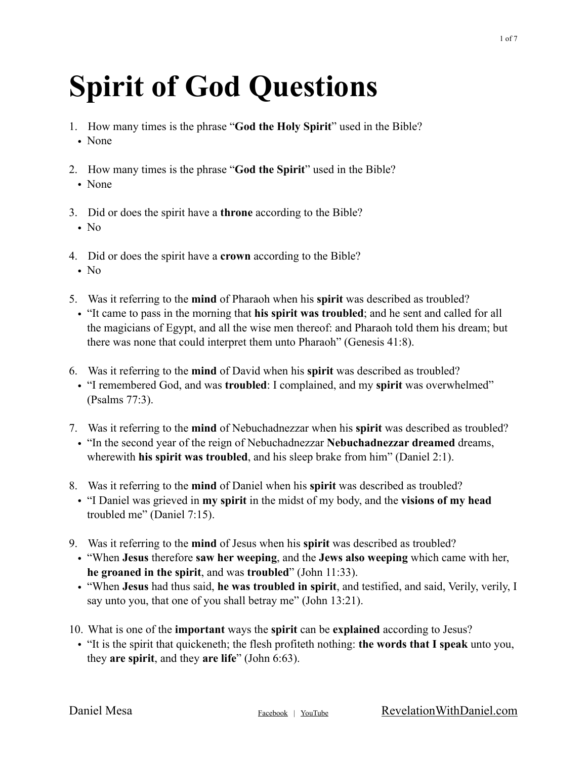## **Spirit of God Questions**

- 1. How many times is the phrase "**God the Holy Spirit**" used in the Bible?
	- None
- 2. How many times is the phrase "**God the Spirit**" used in the Bible?
	- None
- 3. Did or does the spirit have a **throne** according to the Bible?
	- No
- 4. Did or does the spirit have a **crown** according to the Bible?
	- No
- 5. Was it referring to the **mind** of Pharaoh when his **spirit** was described as troubled?
- "It came to pass in the morning that **his spirit was troubled**; and he sent and called for all the magicians of Egypt, and all the wise men thereof: and Pharaoh told them his dream; but there was none that could interpret them unto Pharaoh" (Genesis 41:8).
- 6. Was it referring to the **mind** of David when his **spirit** was described as troubled?
	- "I remembered God, and was **troubled**: I complained, and my **spirit** was overwhelmed" (Psalms 77:3).
- 7. Was it referring to the **mind** of Nebuchadnezzar when his **spirit** was described as troubled?
- "In the second year of the reign of Nebuchadnezzar **Nebuchadnezzar dreamed** dreams, wherewith **his spirit was troubled**, and his sleep brake from him" (Daniel 2:1).
- 8. Was it referring to the **mind** of Daniel when his **spirit** was described as troubled?
	- "I Daniel was grieved in **my spirit** in the midst of my body, and the **visions of my head**  troubled me" (Daniel 7:15).
- 9. Was it referring to the **mind** of Jesus when his **spirit** was described as troubled?
	- "When **Jesus** therefore **saw her weeping**, and the **Jews also weeping** which came with her, **he groaned in the spirit**, and was **troubled**" (John 11:33).
	- "When **Jesus** had thus said, **he was troubled in spirit**, and testified, and said, Verily, verily, I say unto you, that one of you shall betray me" (John 13:21).
- 10. What is one of the **important** ways the **spirit** can be **explained** according to Jesus?
- "It is the spirit that quickeneth; the flesh profiteth nothing: **the words that I speak** unto you, they **are spirit**, and they **are life**" (John 6:63).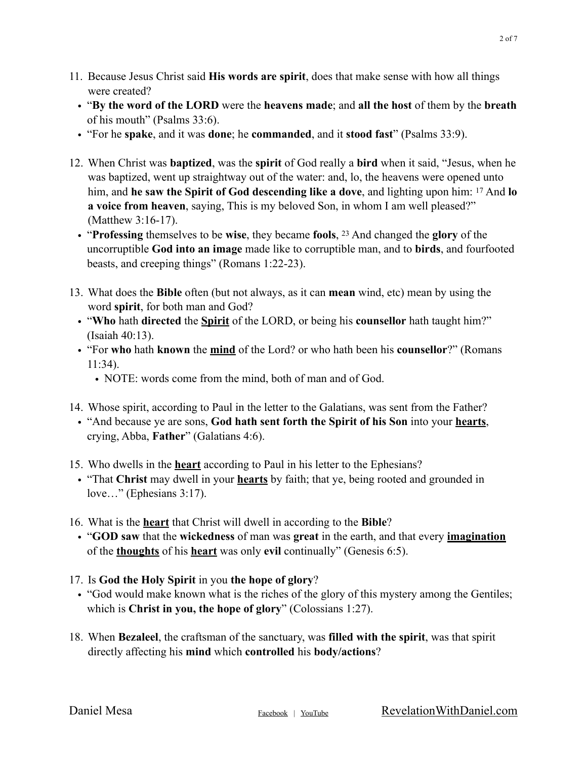- 11. Because Jesus Christ said **His words are spirit**, does that make sense with how all things were created?
	- "**By the word of the LORD** were the **heavens made**; and **all the host** of them by the **breath** of his mouth" (Psalms 33:6).
	- "For he **spake**, and it was **done**; he **commanded**, and it **stood fast**" (Psalms 33:9).
- 12. When Christ was **baptized**, was the **spirit** of God really a **bird** when it said, "Jesus, when he was baptized, went up straightway out of the water: and, lo, the heavens were opened unto him, and **he saw the Spirit of God descending like a dove**, and lighting upon him: 17 And **lo a voice from heaven**, saying, This is my beloved Son, in whom I am well pleased?" (Matthew 3:16-17).
	- "**Professing** themselves to be **wise**, they became **fools**, 23 And changed the **glory** of the uncorruptible **God into an image** made like to corruptible man, and to **birds**, and fourfooted beasts, and creeping things" (Romans 1:22-23).
- 13. What does the **Bible** often (but not always, as it can **mean** wind, etc) mean by using the word **spirit**, for both man and God?
	- "**Who** hath **directed** the **Spirit** of the LORD, or being his **counsellor** hath taught him?" (Isaiah 40:13).
	- "For **who** hath **known** the **mind** of the Lord? or who hath been his **counsellor**?" (Romans 11:34).
		- NOTE: words come from the mind, both of man and of God.
- 14. Whose spirit, according to Paul in the letter to the Galatians, was sent from the Father?
	- "And because ye are sons, **God hath sent forth the Spirit of his Son** into your **hearts**, crying, Abba, **Father**" (Galatians 4:6).
- 15. Who dwells in the **heart** according to Paul in his letter to the Ephesians?
	- "That **Christ** may dwell in your **hearts** by faith; that ye, being rooted and grounded in love…" (Ephesians 3:17).
- 16. What is the **heart** that Christ will dwell in according to the **Bible**?
	- "**GOD saw** that the **wickedness** of man was **great** in the earth, and that every **imagination** of the **thoughts** of his **heart** was only **evil** continually" (Genesis 6:5).
- 17. Is **God the Holy Spirit** in you **the hope of glory**?
- "God would make known what is the riches of the glory of this mystery among the Gentiles; which is **Christ in you, the hope of glory**" (Colossians 1:27).
- 18. When **Bezaleel**, the craftsman of the sanctuary, was **filled with the spirit**, was that spirit directly affecting his **mind** which **controlled** his **body/actions**?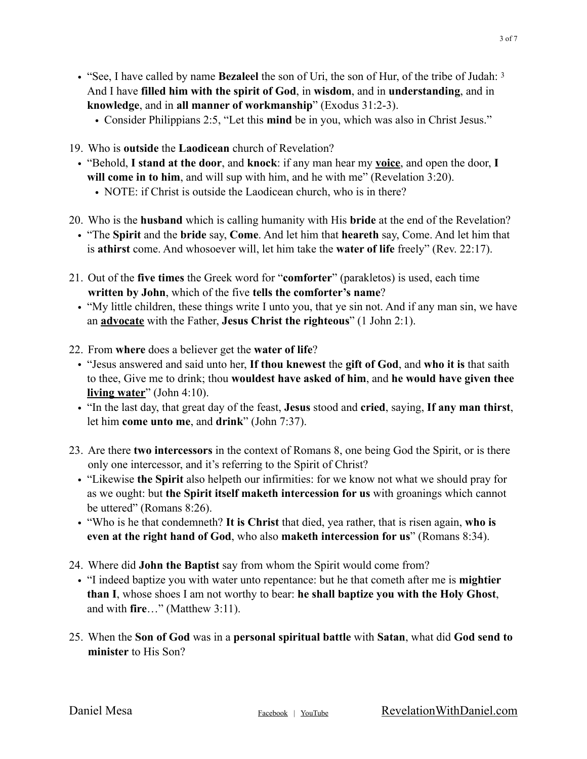- "See, I have called by name **Bezaleel** the son of Uri, the son of Hur, of the tribe of Judah: 3 And I have **filled him with the spirit of God**, in **wisdom**, and in **understanding**, and in **knowledge**, and in **all manner of workmanship**" (Exodus 31:2-3).
	- Consider Philippians 2:5, "Let this **mind** be in you, which was also in Christ Jesus."
- 19. Who is **outside** the **Laodicean** church of Revelation?
	- "Behold, **I stand at the door**, and **knock**: if any man hear my **voice**, and open the door, **I will come in to him**, and will sup with him, and he with me" (Revelation 3:20).
		- NOTE: if Christ is outside the Laodicean church, who is in there?
- 20. Who is the **husband** which is calling humanity with His **bride** at the end of the Revelation?
	- "The **Spirit** and the **bride** say, **Come**. And let him that **heareth** say, Come. And let him that is **athirst** come. And whosoever will, let him take the **water of life** freely" (Rev. 22:17).
- 21. Out of the **five times** the Greek word for "**comforter**" (parakletos) is used, each time **written by John**, which of the five **tells the comforter's name**?
	- "My little children, these things write I unto you, that ye sin not. And if any man sin, we have an **advocate** with the Father, **Jesus Christ the righteous**" (1 John 2:1).
- 22. From **where** does a believer get the **water of life**?
	- "Jesus answered and said unto her, **If thou knewest** the **gift of God**, and **who it is** that saith to thee, Give me to drink; thou **wouldest have asked of him**, and **he would have given thee living water**" (John 4:10).
	- "In the last day, that great day of the feast, **Jesus** stood and **cried**, saying, **If any man thirst**, let him **come unto me**, and **drink**" (John 7:37).
- 23. Are there **two intercessors** in the context of Romans 8, one being God the Spirit, or is there only one intercessor, and it's referring to the Spirit of Christ?
	- "Likewise **the Spirit** also helpeth our infirmities: for we know not what we should pray for as we ought: but **the Spirit itself maketh intercession for us** with groanings which cannot be uttered" (Romans 8:26).
	- "Who is he that condemneth? **It is Christ** that died, yea rather, that is risen again, **who is even at the right hand of God**, who also **maketh intercession for us**" (Romans 8:34).
- 24. Where did **John the Baptist** say from whom the Spirit would come from?
	- "I indeed baptize you with water unto repentance: but he that cometh after me is **mightier than I**, whose shoes I am not worthy to bear: **he shall baptize you with the Holy Ghost**, and with **fire**…" (Matthew 3:11).
- 25. When the **Son of God** was in a **personal spiritual battle** with **Satan**, what did **God send to minister** to His Son?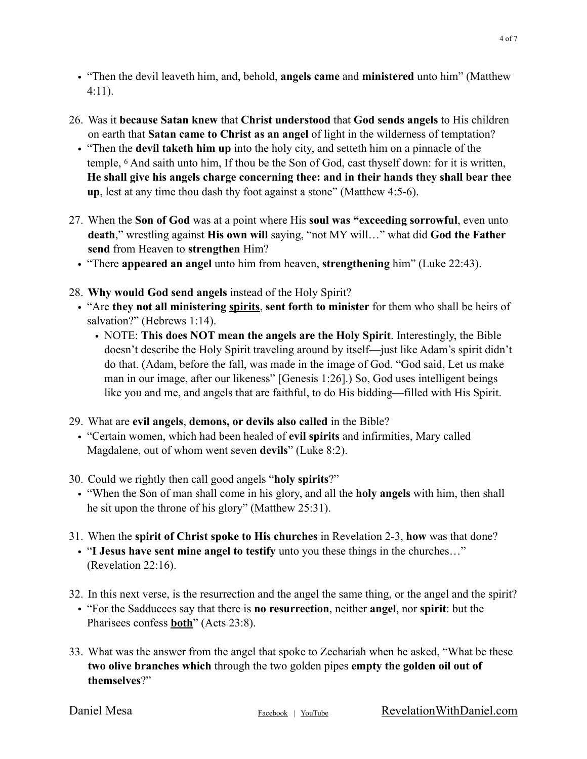- "Then the devil leaveth him, and, behold, **angels came** and **ministered** unto him" (Matthew 4:11).
- 26. Was it **because Satan knew** that **Christ understood** that **God sends angels** to His children on earth that **Satan came to Christ as an angel** of light in the wilderness of temptation?
	- "Then the **devil taketh him up** into the holy city, and setteth him on a pinnacle of the temple, 6 And saith unto him, If thou be the Son of God, cast thyself down: for it is written, **He shall give his angels charge concerning thee: and in their hands they shall bear thee up**, lest at any time thou dash thy foot against a stone" (Matthew 4:5-6).
- 27. When the **Son of God** was at a point where His **soul was "exceeding sorrowful**, even unto **death**," wrestling against **His own will** saying, "not MY will…" what did **God the Father send** from Heaven to **strengthen** Him?
	- "There **appeared an angel** unto him from heaven, **strengthening** him" (Luke 22:43).
- 28. **Why would God send angels** instead of the Holy Spirit?
	- "Are **they not all ministering spirits**, **sent forth to minister** for them who shall be heirs of salvation?" (Hebrews 1:14).
		- NOTE: **This does NOT mean the angels are the Holy Spirit**. Interestingly, the Bible doesn't describe the Holy Spirit traveling around by itself—just like Adam's spirit didn't do that. (Adam, before the fall, was made in the image of God. "God said, Let us make man in our image, after our likeness" [Genesis 1:26].) So, God uses intelligent beings like you and me, and angels that are faithful, to do His bidding—filled with His Spirit.
- 29. What are **evil angels**, **demons, or devils also called** in the Bible?
	- "Certain women, which had been healed of **evil spirits** and infirmities, Mary called Magdalene, out of whom went seven **devils**" (Luke 8:2).
- 30. Could we rightly then call good angels "**holy spirits**?"
	- "When the Son of man shall come in his glory, and all the **holy angels** with him, then shall he sit upon the throne of his glory" (Matthew 25:31).
- 31. When the **spirit of Christ spoke to His churches** in Revelation 2-3, **how** was that done?
- "**I Jesus have sent mine angel to testify** unto you these things in the churches…" (Revelation 22:16).
- 32. In this next verse, is the resurrection and the angel the same thing, or the angel and the spirit?
	- "For the Sadducees say that there is **no resurrection**, neither **angel**, nor **spirit**: but the Pharisees confess **both**" (Acts 23:8).
- 33. What was the answer from the angel that spoke to Zechariah when he asked, "What be these **two olive branches which** through the two golden pipes **empty the golden oil out of themselves**?"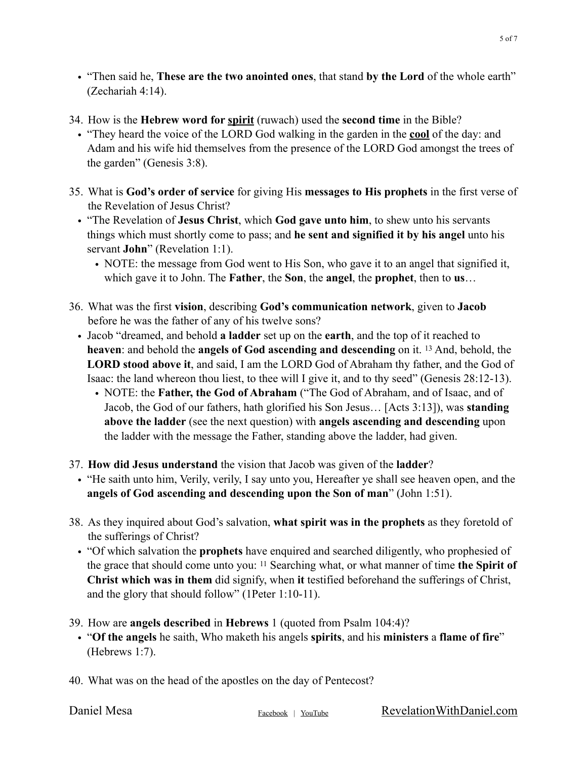- "Then said he, **These are the two anointed ones**, that stand **by the Lord** of the whole earth" (Zechariah 4:14).
- 34. How is the **Hebrew word for spirit** (ruwach) used the **second time** in the Bible?
	- "They heard the voice of the LORD God walking in the garden in the **cool** of the day: and Adam and his wife hid themselves from the presence of the LORD God amongst the trees of the garden" (Genesis 3:8).
- 35. What is **God's order of service** for giving His **messages to His prophets** in the first verse of the Revelation of Jesus Christ?
	- "The Revelation of **Jesus Christ**, which **God gave unto him**, to shew unto his servants things which must shortly come to pass; and **he sent and signified it by his angel** unto his servant **John**" (Revelation 1:1).
		- NOTE: the message from God went to His Son, who gave it to an angel that signified it, which gave it to John. The **Father**, the **Son**, the **angel**, the **prophet**, then to **us**…
- 36. What was the first **vision**, describing **God's communication network**, given to **Jacob** before he was the father of any of his twelve sons?
	- Jacob "dreamed, and behold **a ladder** set up on the **earth**, and the top of it reached to **heaven**: and behold the **angels of God ascending and descending** on it. 13 And, behold, the **LORD stood above it**, and said, I am the LORD God of Abraham thy father, and the God of Isaac: the land whereon thou liest, to thee will I give it, and to thy seed" (Genesis 28:12-13).
		- NOTE: the **Father, the God of Abraham** ("The God of Abraham, and of Isaac, and of Jacob, the God of our fathers, hath glorified his Son Jesus… [Acts 3:13]), was **standing above the ladder** (see the next question) with **angels ascending and descending** upon the ladder with the message the Father, standing above the ladder, had given.
- 37. **How did Jesus understand** the vision that Jacob was given of the **ladder**?
	- "He saith unto him, Verily, verily, I say unto you, Hereafter ye shall see heaven open, and the **angels of God ascending and descending upon the Son of man**" (John 1:51).
- 38. As they inquired about God's salvation, **what spirit was in the prophets** as they foretold of the sufferings of Christ?
	- "Of which salvation the **prophets** have enquired and searched diligently, who prophesied of the grace that should come unto you: 11 Searching what, or what manner of time **the Spirit of Christ which was in them** did signify, when **it** testified beforehand the sufferings of Christ, and the glory that should follow" (1Peter 1:10-11).
- 39. How are **angels described** in **Hebrews** 1 (quoted from Psalm 104:4)?
	- "**Of the angels** he saith, Who maketh his angels **spirits**, and his **ministers** a **flame of fire**" (Hebrews 1:7).
- 40. What was on the head of the apostles on the day of Pentecost?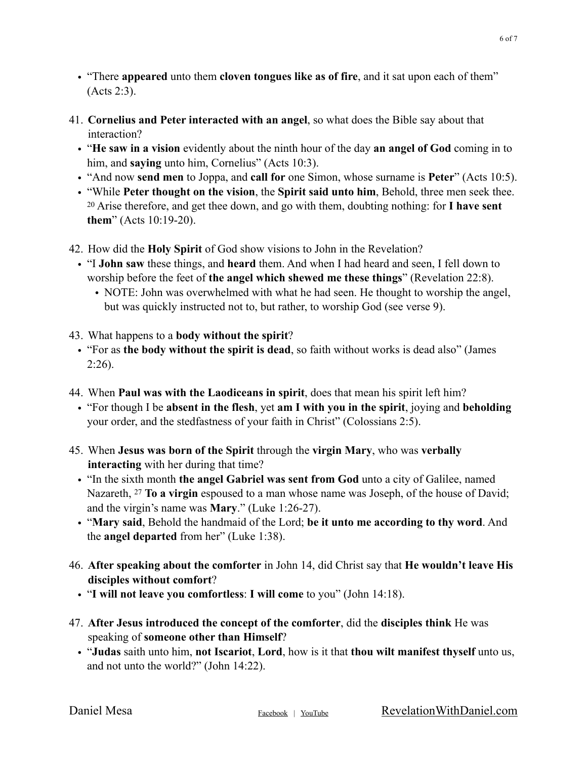- "There **appeared** unto them **cloven tongues like as of fire**, and it sat upon each of them" (Acts 2:3).
- 41. **Cornelius and Peter interacted with an angel**, so what does the Bible say about that interaction?
	- "**He saw in a vision** evidently about the ninth hour of the day **an angel of God** coming in to him, and **saying** unto him, Cornelius" (Acts 10:3).
	- "And now **send men** to Joppa, and **call for** one Simon, whose surname is **Peter**" (Acts 10:5).
	- "While **Peter thought on the vision**, the **Spirit said unto him**, Behold, three men seek thee. 20 Arise therefore, and get thee down, and go with them, doubting nothing: for **I have sent them**" (Acts 10:19-20).
- 42. How did the **Holy Spirit** of God show visions to John in the Revelation?
	- "I **John saw** these things, and **heard** them. And when I had heard and seen, I fell down to worship before the feet of **the angel which shewed me these things**" (Revelation 22:8).
		- NOTE: John was overwhelmed with what he had seen. He thought to worship the angel, but was quickly instructed not to, but rather, to worship God (see verse 9).
- 43. What happens to a **body without the spirit**?
	- "For as **the body without the spirit is dead**, so faith without works is dead also" (James  $2:26$ ).
- 44. When **Paul was with the Laodiceans in spirit**, does that mean his spirit left him?
	- "For though I be **absent in the flesh**, yet **am I with you in the spirit**, joying and **beholding** your order, and the stedfastness of your faith in Christ" (Colossians 2:5).
- 45. When **Jesus was born of the Spirit** through the **virgin Mary**, who was **verbally interacting** with her during that time?
	- "In the sixth month **the angel Gabriel was sent from God** unto a city of Galilee, named Nazareth, 27 **To a virgin** espoused to a man whose name was Joseph, of the house of David; and the virgin's name was **Mary**." (Luke 1:26-27).
	- "**Mary said**, Behold the handmaid of the Lord; **be it unto me according to thy word**. And the **angel departed** from her" (Luke 1:38).
- 46. **After speaking about the comforter** in John 14, did Christ say that **He wouldn't leave His disciples without comfort**?
	- "**I will not leave you comfortless**: **I will come** to you" (John 14:18).
- 47. **After Jesus introduced the concept of the comforter**, did the **disciples think** He was speaking of **someone other than Himself**?
	- "**Judas** saith unto him, **not Iscariot**, **Lord**, how is it that **thou wilt manifest thyself** unto us, and not unto the world?" (John 14:22).